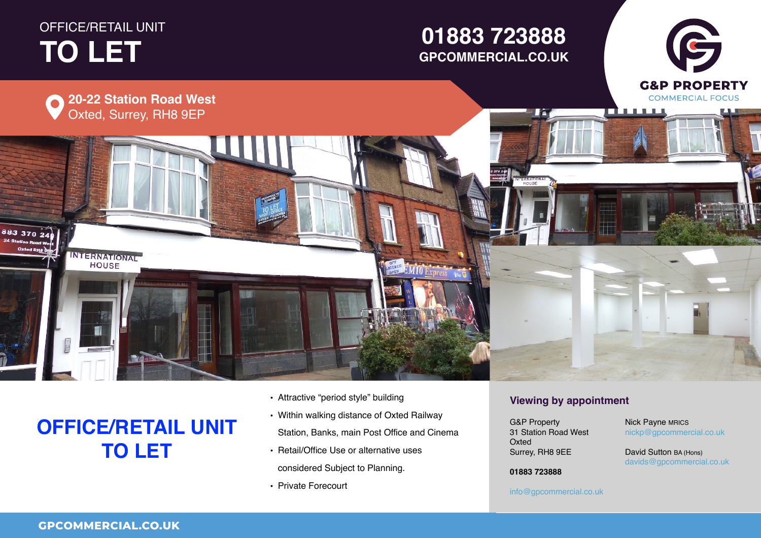# OFFICE/RETAIL UNIT **TO LET TO LET**

## **01234 567 890 GPCOMMERCIAL.CO.UK01883 723888**



# **OFFICE/RETAIL UNIT TO LET**

- Attractive "period style" building
- Within walking distance of Oxted Railway Station, Banks, main Post Office and Cinema
- Retail/Office Use or alternative uses considered Subject to Planning.
- Private Forecourt

### **Viewing by appointment**

reav. RH8 QFF  $\ldots$ ,  $\ldots$   $\ldots$ **Viewing by appointment** G&P Property 31 Station Road West G&P PropertyOxted **Director** Surrey, RH8 9EE G&P Property

 $\mathsf{nickp}@\mathsf{g} \mathsf{p} \mathsf{commercial.co.uk}$ Nick Payne MRICS

G

**Figure 1 David Sutton BA (Hons)**<br>Sultant 1 Email 2008  $\frac{1}{2}$  Californ Britains, davids@gpcommercial.co.uk<br>.

Town **01234 567 890 01883 723888**

County, Postcode

### **01234 567 890** info@gpcommercial.co.uk info@gpcommercial.co.uk

info@gpcommercial.co.uk